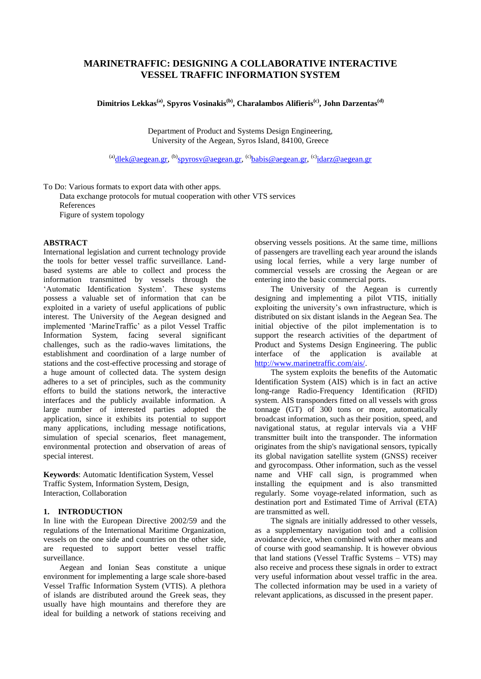# **MARINETRAFFIC: DESIGNING A COLLABORATIVE INTERACTIVE VESSEL TRAFFIC INFORMATION SYSTEM**

**Dimitrios Lekkas(a), Spyros Vosinakis(b) , Charalambos Alifieris(c) , John Darzentas(d)**

Department of Product and Systems Design Engineering, University of the Aegean, Syros Island, 84100, Greece

<sup>(a)</sup>dlek @aegean.gr, <sup>(b)</sup>spyrosv @aegean.gr, <sup>(c)</sup>babis @aegean.gr, <sup>(c)</sup>idarz @aegean.gr

To Do: Various formats to export data with other apps.

Data exchange protocols for mutual cooperation with other VTS services References Figure of system topology

# **ABSTRACT**

International legislation and current technology provide the tools for better vessel traffic surveillance. Landbased systems are able to collect and process the information transmitted by vessels through the 'Automatic Identification System'. These systems possess a valuable set of information that can be exploited in a variety of useful applications of public interest. The University of the Aegean designed and implemented "MarineTraffic" as a pilot Vessel Traffic Information System, facing several significant challenges, such as the radio-waves limitations, the establishment and coordination of a large number of stations and the cost-effective processing and storage of a huge amount of collected data. The system design adheres to a set of principles, such as the community efforts to build the stations network, the interactive interfaces and the publicly available information. A large number of interested parties adopted the application, since it exhibits its potential to support many applications, including message notifications, simulation of special scenarios, fleet management, environmental protection and observation of areas of special interest.

**Keywords**: Automatic Identification System, Vessel Traffic System, Information System, Design, Interaction, Collaboration

## **1. INTRODUCTION**

In line with the European Directive 2002/59 and the regulations of the International Maritime Organization, vessels on the one side and countries on the other side, are requested to support better vessel traffic surveillance.

Aegean and Ionian Seas constitute a unique environment for implementing a large scale shore-based Vessel Traffic Information System (VTIS). A plethora of islands are distributed around the Greek seas, they usually have high mountains and therefore they are ideal for building a network of stations receiving and

observing vessels positions. At the same time, millions of passengers are travelling each year around the islands using local ferries, while a very large number of commercial vessels are crossing the Aegean or are entering into the basic commercial ports.

The University of the Aegean is currently designing and implementing a pilot VTIS, initially exploiting the university's own infrastructure, which is distributed on six distant islands in the Aegean Sea. The initial objective of the pilot implementation is to support the research activities of the department of Product and Systems Design Engineering. The public interface of the application is available at [http://www.marinetraffic.com/ais/.](http://www.marinetraffic.com/ais/)

The system exploits the benefits of the Automatic Identification System (AIS) which is in fact an active long-range Radio-Frequency Identification (RFID) system. AIS transponders fitted on all vessels with gross tonnage (GT) of 300 tons or more, automatically broadcast information, such as their position, speed, and navigational status, at regular intervals via a VHF transmitter built into the transponder. The information originates from the ship's navigational sensors, typically its global navigation satellite system (GNSS) receiver and gyrocompass. Other information, such as the vessel name and VHF call sign, is programmed when installing the equipment and is also transmitted regularly. Some voyage-related information, such as destination port and Estimated Time of Arrival (ETA) are transmitted as well.

The signals are initially addressed to other vessels, as a supplementary navigation tool and a collision avoidance device, when combined with other means and of course with good seamanship. It is however obvious that land stations (Vessel Traffic Systems – VTS) may also receive and process these signals in order to extract very useful information about vessel traffic in the area. The collected information may be used in a variety of relevant applications, as discussed in the present paper.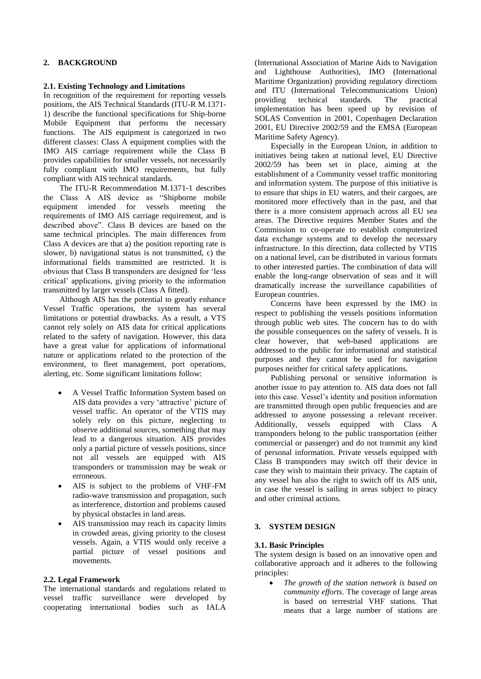# **2. BACKGROUND**

# **2.1. Existing Technology and Limitations**

In recognition of the requirement for reporting vessels positions, the AIS Technical Standards (ITU-R M.1371- 1) describe the functional specifications for Ship-borne Mobile Equipment that performs the necessary functions. The AIS equipment is categorized in two different classes: Class A equipment complies with the IMO AIS carriage requirement while the Class B provides capabilities for smaller vessels, not necessarily fully compliant with IMO requirements, but fully compliant with AIS technical standards.

The ITU-R Recommendation M.1371-1 describes the Class A AIS device as "Shipborne mobile equipment intended for vessels meeting the requirements of IMO AIS carriage requirement, and is described above". Class B devices are based on the same technical principles. The main differences from Class A devices are that a) the position reporting rate is slower, b) navigational status is not transmitted, c) the informational fields transmitted are restricted. It is obvious that Class B transponders are designed for "less critical" applications, giving priority to the information transmitted by larger vessels (Class A fitted).

Although AIS has the potential to greatly enhance Vessel Traffic operations, the system has several limitations or potential drawbacks. As a result, a VTS cannot rely solely on AIS data for critical applications related to the safety of navigation. However, this data have a great value for applications of informational nature or applications related to the protection of the environment, to fleet management, port operations, alerting, etc. Some significant limitations follow:

- A Vessel Traffic Information System based on AIS data provides a very 'attractive' picture of vessel traffic. An operator of the VTIS may solely rely on this picture, neglecting to observe additional sources, something that may lead to a dangerous situation. AIS provides only a partial picture of vessels positions, since not all vessels are equipped with AIS transponders or transmission may be weak or erroneous.
- AIS is subject to the problems of VHF-FM radio-wave transmission and propagation, such as interference, distortion and problems caused by physical obstacles in land areas.
- AIS transmission may reach its capacity limits in crowded areas, giving priority to the closest vessels. Again, a VTIS would only receive a partial picture of vessel positions and movements.

#### **2.2. Legal Framework**

The international standards and regulations related to vessel traffic surveillance were developed by cooperating international bodies such as IALA

(International Association of Marine Aids to Navigation and Lighthouse Authorities), IMO (International Maritime Organization) providing regulatory directions and ITU (International Telecommunications Union) providing technical standards. The practical implementation has been speed up by revision of SOLAS Convention in 2001, Copenhagen Declaration 2001, EU Directive 2002/59 and the EMSA (European Maritime Safety Agency).

Especially in the European Union, in addition to initiatives being taken at national level, EU Directive 2002/59 has been set in place, aiming at the establishment of a Community vessel traffic monitoring and information system. The purpose of this initiative is to ensure that ships in EU waters, and their cargoes, are monitored more effectively than in the past, and that there is a more consistent approach across all EU sea areas. The Directive requires Member States and the Commission to co-operate to establish computerized data exchange systems and to develop the necessary infrastructure. In this direction, data collected by VTIS on a national level, can be distributed in various formats to other interested parties. The combination of data will enable the long-range observation of seas and it will dramatically increase the surveillance capabilities of European countries.

Concerns have been expressed by the IMO in respect to publishing the vessels positions information through public web sites. The concern has to do with the possible consequences on the safety of vessels. It is clear however, that web-based applications are addressed to the public for informational and statistical purposes and they cannot be used for navigation purposes neither for critical safety applications.

Publishing personal or sensitive information is another issue to pay attention to. AIS data does not fall into this case. Vessel"s identity and position information are transmitted through open public frequencies and are addressed to anyone possessing a relevant receiver. Additionally, vessels equipped with Class A transponders belong to the public transportation (either commercial or passenger) and do not transmit any kind of personal information. Private vessels equipped with Class B transponders may switch off their device in case they wish to maintain their privacy. The captain of any vessel has also the right to switch off its AIS unit, in case the vessel is sailing in areas subject to piracy and other criminal actions.

# **3. SYSTEM DESIGN**

# **3.1. Basic Principles**

The system design is based on an innovative open and collaborative approach and it adheres to the following principles:

 *The growth of the station network is based on community efforts*. The coverage of large areas is based on terrestrial VHF stations. That means that a large number of stations are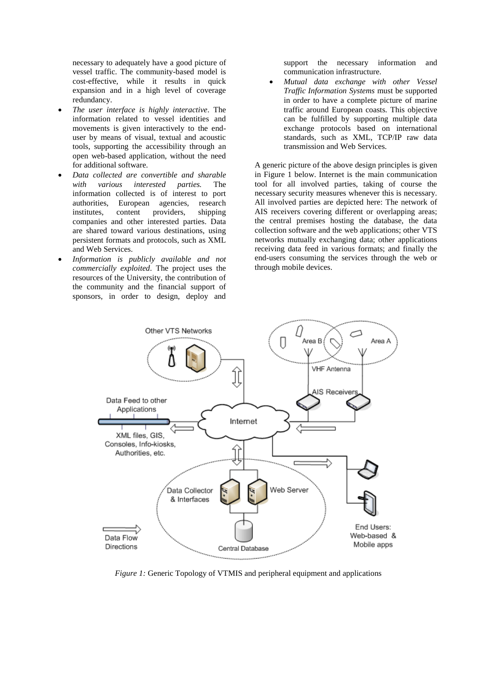necessary to adequately have a good picture of vessel traffic. The community-based model is cost-effective, while it results in quick expansion and in a high level of coverage redundancy.

- *The user interface is highly interactive*. The information related to vessel identities and movements is given interactively to the enduser by means of visual, textual and acoustic tools, supporting the accessibility through an open web-based application, without the need for additional software.
- *Data collected are convertible and sharable with various interested parties.* The information collected is of interest to port authorities, European agencies, research institutes, content providers, shipping companies and other interested parties. Data are shared toward various destinations, using persistent formats and protocols, such as XML and Web Services.
- *Information is publicly available and not commercially exploited*. The project uses the resources of the University, the contribution of the community and the financial support of sponsors, in order to design, deploy and

support the necessary information and communication infrastructure.

 *Mutual data exchange with other Vessel Traffic Information Systems* must be supported in order to have a complete picture of marine traffic around European coasts*.* This objective can be fulfilled by supporting multiple data exchange protocols based on international standards, such as XML, TCP/IP raw data transmission and Web Services.

A generic picture of the above design principles is given in Figure 1 below. Internet is the main communication tool for all involved parties, taking of course the necessary security measures whenever this is necessary. All involved parties are depicted here: The network of AIS receivers covering different or overlapping areas; the central premises hosting the database, the data collection software and the web applications; other VTS networks mutually exchanging data; other applications receiving data feed in various formats; and finally the end-users consuming the services through the web or through mobile devices.



*Figure 1:* Generic Topology of VTMIS and peripheral equipment and applications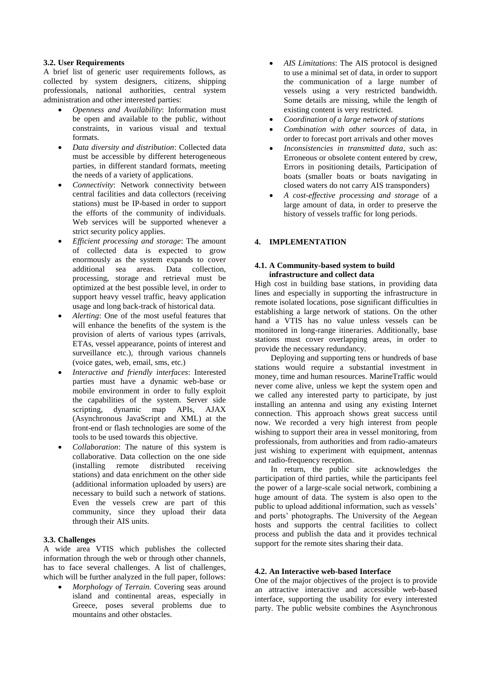### **3.2. User Requirements**

A brief list of generic user requirements follows, as collected by system designers, citizens, shipping professionals, national authorities, central system administration and other interested parties:

- *Openness and Availability*: Information must be open and available to the public, without constraints, in various visual and textual formats.
- *Data diversity and distribution*: Collected data must be accessible by different heterogeneous parties, in different standard formats, meeting the needs of a variety of applications.
- *Connectivity*: Network connectivity between central facilities and data collectors (receiving stations) must be IP-based in order to support the efforts of the community of individuals. Web services will be supported whenever a strict security policy applies.
- *Efficient processing and storage*: The amount of collected data is expected to grow enormously as the system expands to cover additional sea areas. Data collection, processing, storage and retrieval must be optimized at the best possible level, in order to support heavy vessel traffic, heavy application usage and long back-track of historical data.
- *Alerting*: One of the most useful features that will enhance the benefits of the system is the provision of alerts of various types (arrivals, ETAs, vessel appearance, points of interest and surveillance etc.), through various channels (voice gates, web, email, sms, etc.)
- *Interactive and friendly interfaces*: Interested parties must have a dynamic web-base or mobile environment in order to fully exploit the capabilities of the system. Server side scripting, dynamic map APIs, AJAX (Asynchronous JavaScript and XML) at the front-end or flash technologies are some of the tools to be used towards this objective.
- *Collaboration*: The nature of this system is collaborative. Data collection on the one side (installing remote distributed receiving stations) and data enrichment on the other side (additional information uploaded by users) are necessary to build such a network of stations. Even the vessels crew are part of this community, since they upload their data through their AIS units.

#### **3.3. Challenges**

A wide area VTIS which publishes the collected information through the web or through other channels, has to face several challenges. A list of challenges, which will be further analyzed in the full paper, follows:

 *Morphology of Terrain*. Covering seas around island and continental areas, especially in Greece, poses several problems due to mountains and other obstacles.

- *AIS Limitations*: The AIS protocol is designed to use a minimal set of data, in order to support the communication of a large number of vessels using a very restricted bandwidth. Some details are missing, while the length of existing content is very restricted.
- *Coordination of a large network of stations*
- *Combination with other sources* of data, in order to forecast port arrivals and other moves
- *Inconsistencies in transmitted data*, such as: Erroneous or obsolete content entered by crew, Errors in positioning details, Participation of boats (smaller boats or boats navigating in closed waters do not carry AIS transponders)
- *A cost-effective processing and storage* of a large amount of data, in order to preserve the history of vessels traffic for long periods.

## **4. IMPLEMENTATION**

#### **4.1. A Community-based system to build infrastructure and collect data**

High cost in building base stations, in providing data lines and especially in supporting the infrastructure in remote isolated locations, pose significant difficulties in establishing a large network of stations. On the other hand a VTIS has no value unless vessels can be monitored in long-range itineraries. Additionally, base stations must cover overlapping areas, in order to provide the necessary redundancy.

Deploying and supporting tens or hundreds of base stations would require a substantial investment in money, time and human resources. MarineTraffic would never come alive, unless we kept the system open and we called any interested party to participate, by just installing an antenna and using any existing Internet connection. This approach shows great success until now. We recorded a very high interest from people wishing to support their area in vessel monitoring, from professionals, from authorities and from radio-amateurs just wishing to experiment with equipment, antennas and radio-frequency reception.

In return, the public site acknowledges the participation of third parties, while the participants feel the power of a large-scale social network, combining a huge amount of data. The system is also open to the public to upload additional information, such as vessels' and ports' photographs. The University of the Aegean hosts and supports the central facilities to collect process and publish the data and it provides technical support for the remote sites sharing their data.

# **4.2. An Interactive web-based Interface**

One of the major objectives of the project is to provide an attractive interactive and accessible web-based interface, supporting the usability for every interested party. The public website combines the Asynchronous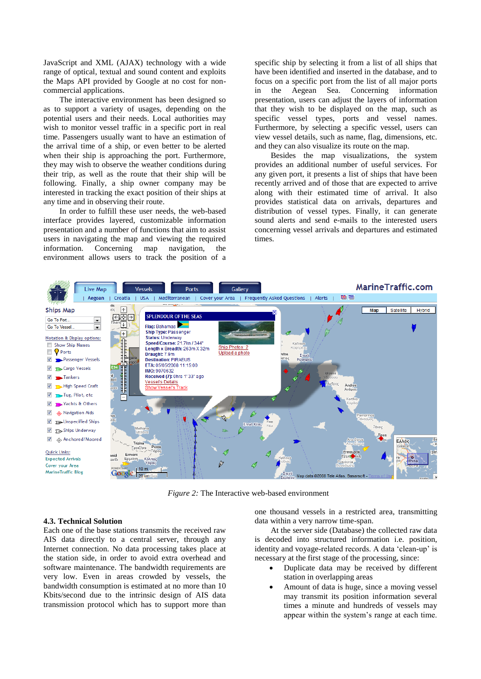JavaScript and XML (AJAX) technology with a wide range of optical, textual and sound content and exploits the Maps API provided by Google at no cost for noncommercial applications.

The interactive environment has been designed so as to support a variety of usages, depending on the potential users and their needs. Local authorities may wish to monitor vessel traffic in a specific port in real time. Passengers usually want to have an estimation of the arrival time of a ship, or even better to be alerted when their ship is approaching the port. Furthermore, they may wish to observe the weather conditions during their trip, as well as the route that their ship will be following. Finally, a ship owner company may be interested in tracking the exact position of their ships at any time and in observing their route.

In order to fulfill these user needs, the web-based interface provides layered, customizable information presentation and a number of functions that aim to assist users in navigating the map and viewing the required information. Concerning map navigation, the environment allows users to track the position of a specific ship by selecting it from a list of all ships that have been identified and inserted in the database, and to focus on a specific port from the list of all major ports in the Aegean Sea. Concerning information presentation, users can adjust the layers of information that they wish to be displayed on the map, such as specific vessel types, ports and vessel names. Furthermore, by selecting a specific vessel, users can view vessel details, such as name, flag, dimensions, etc. and they can also visualize its route on the map.

Besides the map visualizations, the system provides an additional number of useful services. For any given port, it presents a list of ships that have been recently arrived and of those that are expected to arrive along with their estimated time of arrival. It also provides statistical data on arrivals, departures and distribution of vessel types. Finally, it can generate sound alerts and send e-mails to the interested users concerning vessel arrivals and departures and estimated times.



*Figure 2:* The Interactive web-based environment

#### **4.3. Technical Solution**

Each one of the base stations transmits the received raw AIS data directly to a central server, through any Internet connection. No data processing takes place at the station side, in order to avoid extra overhead and software maintenance. The bandwidth requirements are very low. Even in areas crowded by vessels, the bandwidth consumption is estimated at no more than 10 Kbits/second due to the intrinsic design of AIS data transmission protocol which has to support more than one thousand vessels in a restricted area, transmitting data within a very narrow time-span.

At the server side (Database) the collected raw data is decoded into structured information i.e. position, identity and voyage-related records. A data 'clean-up' is necessary at the first stage of the processing, since:

- Duplicate data may be received by different station in overlapping areas
- Amount of data is huge, since a moving vessel may transmit its position information several times a minute and hundreds of vessels may appear within the system"s range at each time.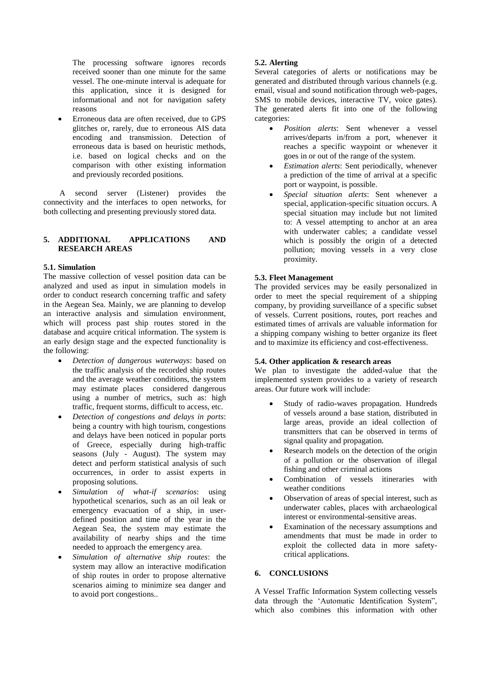The processing software ignores records received sooner than one minute for the same vessel. The one-minute interval is adequate for this application, since it is designed for informational and not for navigation safety reasons

 Erroneous data are often received, due to GPS glitches or, rarely, due to erroneous AIS data encoding and transmission. Detection of erroneous data is based on heuristic methods, i.e. based on logical checks and on the comparison with other existing information and previously recorded positions.

A second server (Listener) provides the connectivity and the interfaces to open networks, for both collecting and presenting previously stored data.

# **5. ADDITIONAL APPLICATIONS AND RESEARCH AREAS**

## **5.1. Simulation**

The massive collection of vessel position data can be analyzed and used as input in simulation models in order to conduct research concerning traffic and safety in the Aegean Sea. Mainly, we are planning to develop an interactive analysis and simulation environment, which will process past ship routes stored in the database and acquire critical information. The system is an early design stage and the expected functionality is the following:

- *Detection of dangerous waterways*: based on the traffic analysis of the recorded ship routes and the average weather conditions, the system may estimate places considered dangerous using a number of metrics, such as: high traffic, frequent storms, difficult to access, etc.
- *Detection of congestions and delays in ports*: being a country with high tourism, congestions and delays have been noticed in popular ports of Greece, especially during high-traffic seasons (July - August). The system may detect and perform statistical analysis of such occurrences, in order to assist experts in proposing solutions.
- *Simulation of what-if scenarios*: using hypothetical scenarios, such as an oil leak or emergency evacuation of a ship, in userdefined position and time of the year in the Aegean Sea, the system may estimate the availability of nearby ships and the time needed to approach the emergency area.
- *Simulation of alternative ship routes*: the system may allow an interactive modification of ship routes in order to propose alternative scenarios aiming to minimize sea danger and to avoid port congestions..

# **5.2. Alerting**

Several categories of alerts or notifications may be generated and distributed through various channels (e.g. email, visual and sound notification through web-pages, SMS to mobile devices, interactive TV, voice gates). The generated alerts fit into one of the following categories:

- *Position alerts*: Sent whenever a vessel arrives/departs in/from a port, whenever it reaches a specific waypoint or whenever it goes in or out of the range of the system.
- *Estimation alerts*: Sent periodically, whenever a prediction of the time of arrival at a specific port or waypoint, is possible.
- *Special situation alerts*: Sent whenever a special, application-specific situation occurs. A special situation may include but not limited to: A vessel attempting to anchor at an area with underwater cables; a candidate vessel which is possibly the origin of a detected pollution; moving vessels in a very close proximity.

# **5.3. Fleet Management**

The provided services may be easily personalized in order to meet the special requirement of a shipping company, by providing surveillance of a specific subset of vessels. Current positions, routes, port reaches and estimated times of arrivals are valuable information for a shipping company wishing to better organize its fleet and to maximize its efficiency and cost-effectiveness.

## **5.4. Other application & research areas**

We plan to investigate the added-value that the implemented system provides to a variety of research areas. Our future work will include:

- Study of radio-waves propagation. Hundreds of vessels around a base station, distributed in large areas, provide an ideal collection of transmitters that can be observed in terms of signal quality and propagation.
- Research models on the detection of the origin of a pollution or the observation of illegal fishing and other criminal actions
- Combination of vessels itineraries with weather conditions
- Observation of areas of special interest, such as underwater cables, places with archaeological interest or environmental-sensitive areas.
- Examination of the necessary assumptions and amendments that must be made in order to exploit the collected data in more safetycritical applications.

### **6. CONCLUSIONS**

A Vessel Traffic Information System collecting vessels data through the "Automatic Identification System", which also combines this information with other